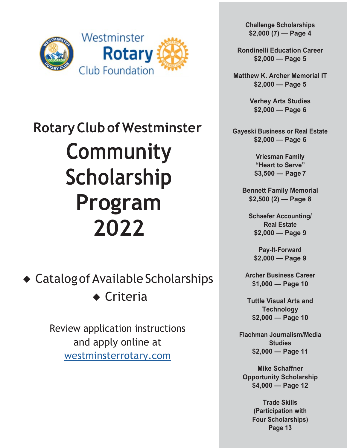

 **RotaryClubof Westminster Community Scholarship Program 2022**

◆ Catalog of Available Scholarships ◆ Criteria

> Review application instructions and apply online at [westminsterrotary.com](http://westminsterrotary.com/)

**Challenge Scholarships \$2,000 (7) — Page 4**

**Rondinelli Education Career \$2,000 — Page 5**

**Matthew K. Archer Memorial IT \$2,000 — Page 5**

> **Verhey Arts Studies \$2,000 — Page 6**

**Gayeski Business or Real Estate \$2,000 — Page 6**

> **Vriesman Family "Heart to Serve" \$3,500 — Page 7**

**Bennett Family Memorial \$2,500 (2) — Page 8**

**Schaefer Accounting/ Real Estate \$2,000 — Page 9**

**Pay-It-Forward \$2,000 — Page 9**

**Archer Business Career \$1,000 — Page 10**

**Tuttle Visual Arts and Technology \$2,000 — Page 10**

**Flachman Journalism/Media Studies \$2,000 — Page 11**

**Mike Schaffner Opportunity Scholarship \$4,000 — Page 12**

> **Trade Skills (Participation with Four Scholarships) Page 13**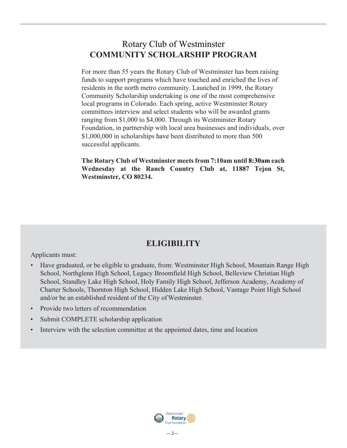### Rotary Club of Westminster **COMMUNITY SCHOLARSHIP PROGRAM**

For more than 55 years the Rotary Club of Westminster has been raising funds to support programs which have touched and enriched the lives of residents in the north metro community. Launched in 1999, the Rotary Community Scholarship undertaking is one of the most comprehensive local programs in Colorado. Each spring, active Westminster Rotary committees interview and select students who will be awarded grants ranging from \$1,000 to \$4,000. Through its Westminster Rotary Foundation, in partnership with local area businesses and individuals, over \$1,000,000 in scholarships have been distributed to more than 500 successful applicants.

**The Rotary Club of Westminster meets from 7:10am until 8:30am each Wednesday at the Ranch Country Club at, 11887 Tejon St, Westminster, CO 80234.**

### **ELIGIBILITY**

Applicants must:

- Have graduated, or be eligible to graduate, from: Westminster High School, Mountain Range High School, Northglenn High School, Legacy Broomfield High School, Belleview Christian High School, Standley Lake High School, Holy Family High School, Jefferson Academy, Academy of Charter Schools, Thornton High School, Hidden Lake High School, Vantage Point High School and/or be an established resident of the City of Westminster.
- Provide two letters of recommendation
- Submit COMPLETE scholarship application
- Interview with the selection committee at the appointed dates, time and location

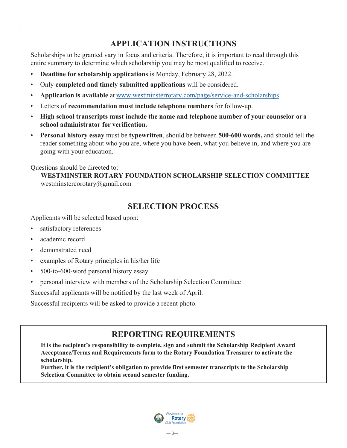### **APPLICATION INSTRUCTIONS**

Scholarships to be granted vary in focus and criteria. Therefore, it is important to read through this entire summary to determine which scholarship you may be most qualified to receive.

- **Deadline for scholarship applications** is Monday, February 28, 2022.
- Only **completed and timely submitted applications** will be considered.
- **Application is available** at [www.westminsterrotary.com/page/service-and-scholarships](https://www.westminsterrotary.com/page/service-and-scholarships)
- Letters of **recommendation must include telephone numbers** for follow-up.
- **High school transcripts must include the name and telephone number of your counselor or a school administrator for verification.**
- **Personal history essay** must be **typewritten**, should be between **500-600 words,** and should tell the reader something about who you are, where you have been, what you believe in, and where you are going with your education.

Questions should be directed to:

**WESTMINSTER ROTARY FOUNDATION SCHOLARSHIP SELECTION COMMITTEE** [westminstercorotary@gmail.com](mailto:westminstercorotary@gmail.com)

### **SELECTION PROCESS**

Applicants will be selected based upon:

- satisfactory references
- academic record
- demonstrated need
- examples of Rotary principles in his/her life
- 500-to-600-word personal history essay
- personal interview with members of the Scholarship Selection Committee

Successful applicants will be notified by the last week of April.

Successful recipients will be asked to provide a recent photo.

### **REPORTING REQUIREMENTS**

**It is the recipient's responsibility to complete, sign and submit the Scholarship Recipient Award Acceptance/Terms and Requirements form to the Rotary Foundation Treasurer to activate the scholarship.**

**Further, it is the recipient's obligation to provide first semester transcripts to the Scholarship Selection Committee to obtain second semester funding.**

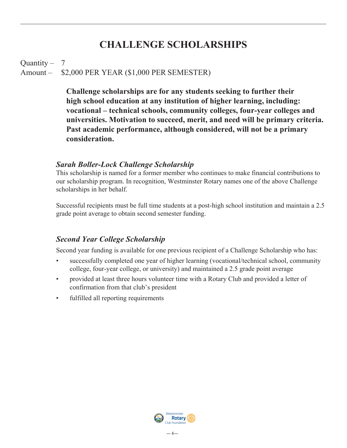# **CHALLENGE SCHOLARSHIPS**

### Quantity  $-7$ Amount – \$2,000 PER YEAR (\$1,000 PER SEMESTER)

**Challenge scholarships are for any students seeking to further their high school education at any institution of higher learning, including: vocational – technical schools, community colleges, four-year colleges and universities. Motivation to succeed, merit, and need will be primary criteria. Past academic performance, although considered, will not be a primary consideration.**

#### *Sarah Boller-Lock Challenge Scholarship*

This scholarship is named for a former member who continues to make financial contributions to our scholarship program. In recognition, Westminster Rotary names one of the above Challenge scholarships in her behalf.

Successful recipients must be full time students at a post-high school institution and maintain a 2.5 grade point average to obtain second semester funding.

#### *Second Year College Scholarship*

Second year funding is available for one previous recipient of a Challenge Scholarship who has:

- successfully completed one year of higher learning (vocational/technical school, community college, four-year college, or university) and maintained a 2.5 grade point average
- provided at least three hours volunteer time with a Rotary Club and provided a letter of confirmation from that club's president
- fulfilled all reporting requirements

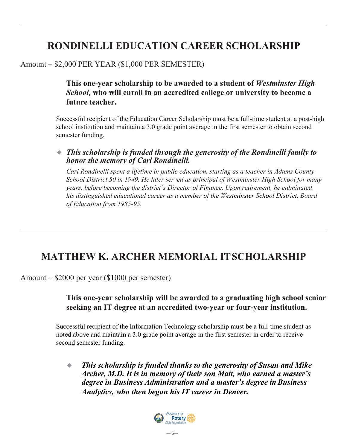# **RONDINELLI EDUCATION CAREER SCHOLARSHIP**

### Amount – \$2,000 PER YEAR (\$1,000 PER SEMESTER)

**This one-year scholarship to be awarded to a student of** *Westminster High School,* **who will enroll in an accredited college or university to become a future teacher.**

Successful recipient of the Education Career Scholarship must be a full-time student at a post-high school institution and maintain a 3.0 grade point average in the first semester to obtain second semester funding.

#### ◆ This scholarship is funded through the generosity of the Rondinelli family to *honor the memory of Carl Rondinelli.*

*Carl Rondinelli spent a lifetime in public education, starting as a teacher in Adams County School District 50 in 1949. He later served as principal of Westminster High School for many years, before becoming the district's Director of Finance. Upon retirement, he culminated his distinguished educational career as a member of the Westminster School District, Board of Education from 1985-95.*

# **MATTHEW K. ARCHER MEMORIAL ITSCHOLARSHIP**

Amount – \$2000 per year (\$1000 per semester)

#### **This one-year scholarship will be awarded to a graduating high school senior seeking an IT degree at an accredited two-year or four-year institution.**

Successful recipient of the Information Technology scholarship must be a full-time student as noted above and maintain a 3.0 grade point average in the first semester in order to receive second semester funding.

*This scholarship is funded thanks to the generosity of Susan and Mike Archer, M.D. It is in memory of their son Matt, who earned a master's degree in Business Administration and a master's degree in Business Analytics, who then began his IT career in Denver.*

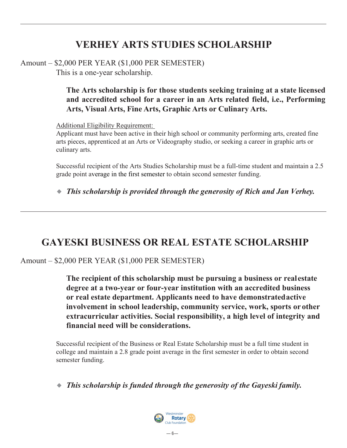# **VERHEY ARTS STUDIES SCHOLARSHIP**

Amount – \$2,000 PER YEAR (\$1,000 PER SEMESTER)

This is a one-year scholarship.

**The Arts scholarship is for those students seeking training at a state licensed and accredited school for a career in an Arts related field, i.e., Performing Arts, Visual Arts, Fine Arts, Graphic Arts or Culinary Arts.**

Additional Eligibility Requirement:

Applicant must have been active in their high school or community performing arts, created fine arts pieces, apprenticed at an Arts or Videography studio, or seeking a career in graphic arts or culinary arts.

Successful recipient of the Arts Studies Scholarship must be a full-time student and maintain a 2.5 grade point average in the first semester to obtain second semester funding.

◆ *This scholarship is provided through the generosity of Rich and Jan Verhey.* 

# **GAYESKI BUSINESS OR REAL ESTATE SCHOLARSHIP**

### Amount – \$2,000 PER YEAR (\$1,000 PER SEMESTER)

**The recipient of this scholarship must be pursuing a business or realestate degree at a two-year or four-year institution with an accredited business or real estate department. Applicants need to have demonstratedactive involvement in school leadership, community service, work, sports or other extracurricular activities. Social responsibility, a high level of integrity and financial need will be considerations.**

Successful recipient of the Business or Real Estate Scholarship must be a full time student in college and maintain a 2.8 grade point average in the first semester in order to obtain second semester funding.

◆ *This scholarship is funded through the generosity of the Gayeski family.* 

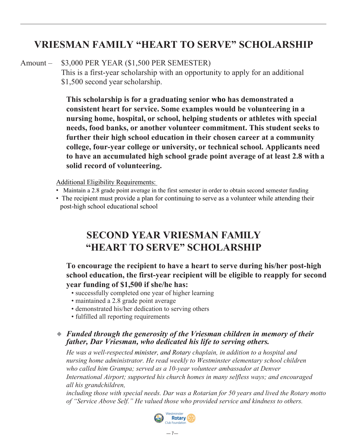# **VRIESMAN FAMILY "HEART TO SERVE" SCHOLARSHIP**

#### Amount – \$3,000 PER YEAR (\$1,500 PER SEMESTER)

This is a first-year scholarship with an opportunity to apply for an additional \$1,500 second year scholarship.

**This scholarship is for a graduating senior who has demonstrated a consistent heart for service. Some examples would be volunteering in a nursing home, hospital, or school, helping students or athletes with special needs, food banks, or another volunteer commitment. This student seeks to further their high school education in their chosen career at a community college, four-year college or university, or technical school. Applicants need to have an accumulated high school grade point average of at least 2.8 with a solid record of volunteering.**

Additional Eligibility Requirements:

- Maintain a 2.8 grade point average in the first semester in order to obtain second semester funding
- The recipient must provide a plan for continuing to serve as a volunteer while attending their post-high school educational school

## **SECOND YEAR VRIESMAN FAMILY "HEART TO SERVE" SCHOLARSHIP**

**To encourage the recipient to have a heart to serve during his/her post-high school education, the first-year recipient will be eligible to reapply for second year funding of \$1,500 if she/he has:**

- successfully completed one year of higher learning
- maintained a 2.8 grade point average
- demonstrated his/her dedication to serving others
- fulfilled all reporting requirements

#### ◆ *Funded through the generosity of the Vriesman children in memory of their father, Dar Vriesman, who dedicated his life to serving others.*

*He was a well-respected minister, and Rotary chaplain, in addition to a hospital and nursing home administrator. He read weekly to Westminster elementary school children who called him Grampa; served as a 10-year volunteer ambassador at Denver International Airport; supported his church homes in many selfless ways; and encouraged all his grandchildren,*

*including those with special needs. Dar was a Rotarian for 50 years and lived the Rotary motto of "Service Above Self." He valued those who provided service and kindness to others.*

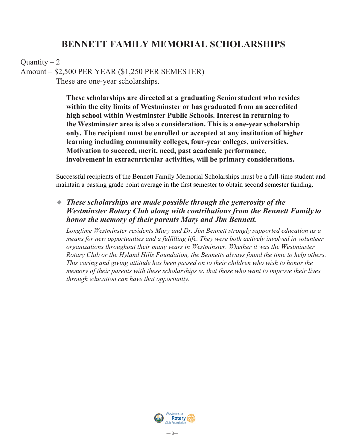### **BENNETT FAMILY MEMORIAL SCHOLARSHIPS**

Ouantity  $-2$ 

Amount – \$2,500 PER YEAR (\$1,250 PER SEMESTER)

These are one-year scholarships.

**These scholarships are directed at a graduating Seniorstudent who resides within the city limits of Westminster or has graduated from an accredited high school within Westminster Public Schools. Interest in returning to the Westminster area is also a consideration. This is a one-year scholarship only. The recipient must be enrolled or accepted at any institution of higher learning including community colleges, four-year colleges, universities. Motivation to succeed, merit, need, past academic performance, involvement in extracurricular activities, will be primary considerations.**

Successful recipients of the Bennett Family Memorial Scholarships must be a full-time student and maintain a passing grade point average in the first semester to obtain second semester funding.

◆ *These scholarships are made possible through the generosity of the Westminster Rotary Club along with contributions from the Bennett Family to honor the memory of their parents Mary and Jim Bennett.*

*Longtime Westminster residents Mary and Dr. Jim Bennett strongly supported education as a means for new opportunities and a fulfilling life. They were both actively involved in volunteer organizations throughout their many years in Westminster. Whether it was the Westminster Rotary Club or the Hyland Hills Foundation, the Bennetts always found the time to help others. This caring and giving attitude has been passed on to their children who wish to honor the memory of their parents with these scholarships so that those who want to improve their lives through education can have that opportunity.*

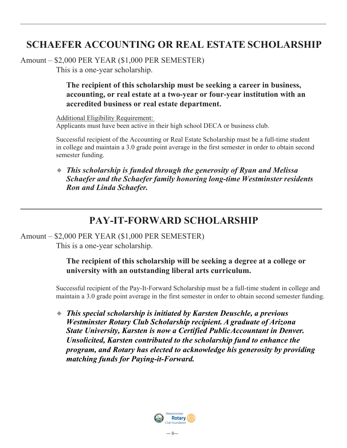# **SCHAEFER ACCOUNTING OR REAL ESTATE SCHOLARSHIP**

Amount – \$2,000 PER YEAR (\$1,000 PER SEMESTER)

This is a one-year scholarship.

### **The recipient of this scholarship must be seeking a career in business, accounting, or real estate at a two-year or four-year institution with an accredited business or real estate department.**

Additional Eligibility Requirement: Applicants must have been active in their high school DECA or business club.

Successful recipient of the Accounting or Real Estate Scholarship must be a full-time student in college and maintain a 3.0 grade point average in the first semester in order to obtain second semester funding.

◆ *This scholarship is funded through the generosity of Ryan and Melissa Schaefer and the Schaefer family honoring long-time Westminster residents Ron and Linda Schaefer.*

## **PAY-IT-FORWARD SCHOLARSHIP**

#### Amount – \$2,000 PER YEAR (\$1,000 PER SEMESTER)

This is a one-year scholarship.

### **The recipient of this scholarship will be seeking a degree at a college or university with an outstanding liberal arts curriculum.**

Successful recipient of the Pay-It-Forward Scholarship must be a full-time student in college and maintain a 3.0 grade point average in the first semester in order to obtain second semester funding.

◆ *This special scholarship is initiated by Karsten Deuschle, a previous Westminster Rotary Club Scholarship recipient. A graduate of Arizona State University, Karsten is now a Certified PublicAccountant in Denver. Unsolicited, Karsten contributed to the scholarship fund to enhance the program, and Rotary has elected to acknowledge his generosity by providing matching funds for Paying-it-Forward.*

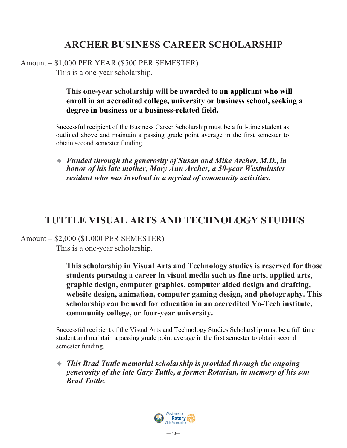# **ARCHER BUSINESS CAREER SCHOLARSHIP**

Amount – \$1,000 PER YEAR (\$500 PER SEMESTER) This is a one-year scholarship.

### **This one-year scholarship will be awarded to an applicant who will enroll in an accredited college, university or business school, seeking a degree in business or a business-related field.**

Successful recipient of the Business Career Scholarship must be a full-time student as outlined above and maintain a passing grade point average in the first semester to obtain second semester funding.

◆ *F unded through the generosity of Susan and Mike Archer, M.D., in honor of his late mother, Mary Ann Archer, a 50-year Westminster resident who was involved in a myriad of community activities.*

# **TUTTLE VISUAL ARTS AND TECHNOLOGY STUDIES**

Amount – \$2,000 (\$1,000 PER SEMESTER)

This is a one-year scholarship.

**This scholarship in Visual Arts and Technology studies is reserved for those students pursuing a career in visual media such as fine arts, applied arts, graphic design, computer graphics, computer aided design and drafting, website design, animation, computer gaming design, and photography. This scholarship can be used for education in an accredited Vo-Tech institute, community college, or four-year university.**

Successful recipient of the Visual Arts and Technology Studies Scholarship must be a full time student and maintain a passing grade point average in the first semester to obtain second semester funding.

◆ *This Brad Tuttle memorial scholarship is provided through the ongoing generosity of the late Gary Tuttle, a former Rotarian, in memory of his son Brad Tuttle.*

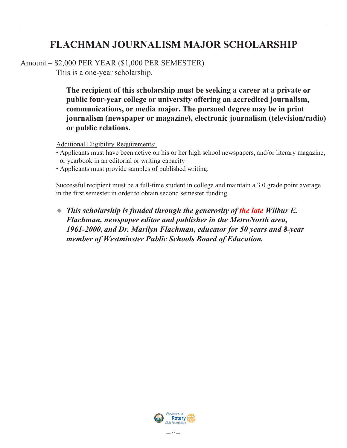# **FLACHMAN JOURNALISM MAJOR SCHOLARSHIP**

Amount – \$2,000 PER YEAR (\$1,000 PER SEMESTER)

This is a one-year scholarship.

**The recipient of this scholarship must be seeking a career at a private or public four-year college or university offering an accredited journalism, communications, or media major. The pursued degree may be in print journalism (newspaper or magazine), electronic journalism (television/radio) or public relations.**

Additional Eligibility Requirements:

- Applicants must have been active on his or her high school newspapers, and/or literary magazine, or yearbook in an editorial or writing capacity
- Applicants must provide samples of published writing.

Successful recipient must be a full-time student in college and maintain a 3.0 grade point average in the first semester in order to obtain second semester funding.

◆ *This scholarship is funded through the generosity of the late Wilbur E. Flachman, newspaper editor and publisher in the MetroNorth area, 1961-2000, and Dr. Marilyn Flachman, educator for 50 years and 8-year member of Westminster Public Schools Board of Education.*

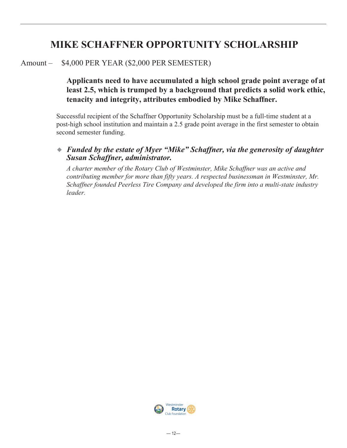# **MIKE SCHAFFNER OPPORTUNITY SCHOLARSHIP**

#### Amount – \$4,000 PER YEAR (\$2,000 PER SEMESTER)

### **Applicants need to have accumulated a high school grade point average of at least 2.5, which is trumped by a background that predicts a solid work ethic, tenacity and integrity, attributes embodied by Mike Schaffner.**

Successful recipient of the Schaffner Opportunity Scholarship must be a full-time student at a post-high school institution and maintain a 2.5 grade point average in the first semester to obtain second semester funding.

#### ◆ *F unded by the estate of Myer "Mike" Schaffner, via the generosity of daughter Susan Schaffner, administrator.*

*A charter member of the Rotary Club of Westminster, Mike Schaffner was an active and contributing member for more than fifty years. A respected businessman in Westminster, Mr. Schaffner founded Peerless Tire Company and developed the firm into a multi-state industry leader.*